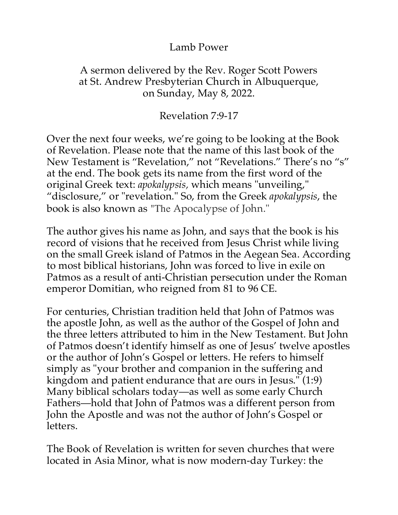## Lamb Power

## A sermon delivered by the Rev. Roger Scott Powers at St. Andrew Presbyterian Church in Albuquerque, on Sunday, May 8, 2022.

## Revelation 7:9-17

Over the next four weeks, we're going to be looking at the Book of Revelation. Please note that the name of this last book of the New Testament is "Revelation," not "Revelations." There's no "s" at the end. The book gets its name from the first word of the original Greek text: *apokalypsis,* which means "unveiling," "disclosure," or "revelation." So, from the Greek *apokalypsis*, the book is also known as "The Apocalypse of John."

The author gives his name as John, and says that the book is his record of visions that he received from Jesus Christ while living on the small Greek island of Patmos in the Aegean Sea. According to most biblical historians, John was forced to live in exile on Patmos as a result of anti-Christian persecution under the Roman emperor Domitian, who reigned from 81 to 96 CE.

For centuries, Christian tradition held that John of Patmos was the apostle John, as well as the author of the Gospel of John and the three letters attributed to him in the New Testament. But John of Patmos doesn't identify himself as one of Jesus' twelve apostles or the author of John's Gospel or letters. He refers to himself simply as "your brother and companion in the suffering and kingdom and patient endurance that are ours in Jesus." (1:9) Many biblical scholars today—as well as some early Church Fathers—hold that John of Patmos was a different person from John the Apostle and was not the author of John's Gospel or letters.

The Book of Revelation is written for seven churches that were located in Asia Minor, what is now modern-day Turkey: the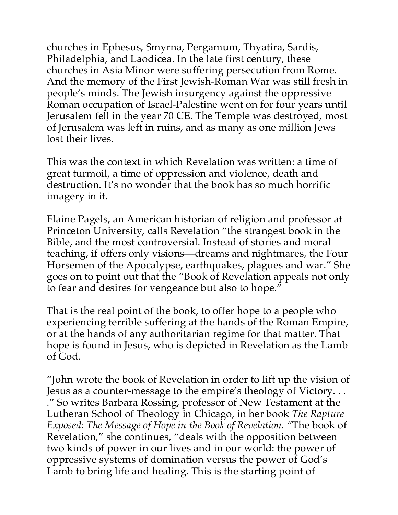churches in Ephesus, Smyrna, Pergamum, Thyatira, Sardis, Philadelphia, and Laodicea. In the late first century, these churches in Asia Minor were suffering persecution from Rome. And the memory of the First Jewish-Roman War was still fresh in people's minds. The Jewish insurgency against the oppressive Roman occupation of Israel-Palestine went on for four years until Jerusalem fell in the year 70 CE. The Temple was destroyed, most of Jerusalem was left in ruins, and as many as one million Jews lost their lives.

This was the context in which Revelation was written: a time of great turmoil, a time of oppression and violence, death and destruction. It's no wonder that the book has so much horrific imagery in it.

Elaine Pagels, an American historian of religion and professor at Princeton University, calls Revelation "the strangest book in the Bible, and the most controversial. Instead of stories and moral teaching, if offers only visions—dreams and nightmares, the Four Horsemen of the Apocalypse, earthquakes, plagues and war." She goes on to point out that the "Book of Revelation appeals not only to fear and desires for vengeance but also to hope."

That is the real point of the book, to offer hope to a people who experiencing terrible suffering at the hands of the Roman Empire, or at the hands of any authoritarian regime for that matter. That hope is found in Jesus, who is depicted in Revelation as the Lamb of God.

"John wrote the book of Revelation in order to lift up the vision of Jesus as a counter-message to the empire's theology of Victory. . . ." So writes Barbara Rossing, professor of New Testament at the Lutheran School of Theology in Chicago, in her book *The Rapture Exposed: The Message of Hope in the Book of Revelation. "*The book of Revelation," she continues, "deals with the opposition between two kinds of power in our lives and in our world: the power of oppressive systems of domination versus the power of God's Lamb to bring life and healing. This is the starting point of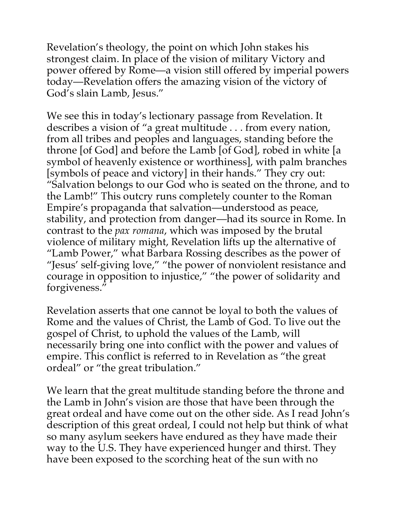Revelation's theology, the point on which John stakes his strongest claim. In place of the vision of military Victory and power offered by Rome—a vision still offered by imperial powers today—Revelation offers the amazing vision of the victory of God's slain Lamb, Jesus."

We see this in today's lectionary passage from Revelation. It describes a vision of "a great multitude . . . from every nation, from all tribes and peoples and languages, standing before the throne [of God] and before the Lamb [of God], robed in white [a symbol of heavenly existence or worthiness], with palm branches [symbols of peace and victory] in their hands." They cry out: "Salvation belongs to our God who is seated on the throne, and to the Lamb!" This outcry runs completely counter to the Roman Empire's propaganda that salvation—understood as peace, stability, and protection from danger—had its source in Rome. In contrast to the *pax romana*, which was imposed by the brutal violence of military might, Revelation lifts up the alternative of "Lamb Power," what Barbara Rossing describes as the power of "Jesus' self-giving love," "the power of nonviolent resistance and courage in opposition to injustice," "the power of solidarity and forgiveness."

Revelation asserts that one cannot be loyal to both the values of Rome and the values of Christ, the Lamb of God. To live out the gospel of Christ, to uphold the values of the Lamb, will necessarily bring one into conflict with the power and values of empire. This conflict is referred to in Revelation as "the great ordeal" or "the great tribulation."

We learn that the great multitude standing before the throne and the Lamb in John's vision are those that have been through the great ordeal and have come out on the other side. As I read John's description of this great ordeal, I could not help but think of what so many asylum seekers have endured as they have made their way to the U.S. They have experienced hunger and thirst. They have been exposed to the scorching heat of the sun with no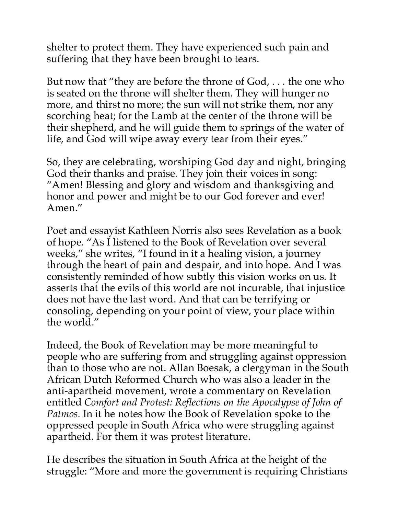shelter to protect them. They have experienced such pain and suffering that they have been brought to tears.

But now that "they are before the throne of God, . . . the one who is seated on the throne will shelter them. They will hunger no more, and thirst no more; the sun will not strike them, nor any scorching heat; for the Lamb at the center of the throne will be their shepherd, and he will guide them to springs of the water of life, and God will wipe away every tear from their eyes."

So, they are celebrating, worshiping God day and night, bringing God their thanks and praise. They join their voices in song: "Amen! Blessing and glory and wisdom and thanksgiving and honor and power and might be to our God forever and ever! Amen."

Poet and essayist Kathleen Norris also sees Revelation as a book of hope. "As I listened to the Book of Revelation over several weeks," she writes, "I found in it a healing vision, a journey through the heart of pain and despair, and into hope. And I was consistently reminded of how subtly this vision works on us. It asserts that the evils of this world are not incurable, that injustice does not have the last word. And that can be terrifying or consoling, depending on your point of view, your place within the world."

Indeed, the Book of Revelation may be more meaningful to people who are suffering from and struggling against oppression than to those who are not. Allan Boesak, a clergyman in the South African Dutch Reformed Church who was also a leader in the anti-apartheid movement, wrote a commentary on Revelation entitled *Comfort and Protest: Reflections on the Apocalypse of John of Patmos.* In it he notes how the Book of Revelation spoke to the oppressed people in South Africa who were struggling against apartheid. For them it was protest literature.

He describes the situation in South Africa at the height of the struggle: "More and more the government is requiring Christians